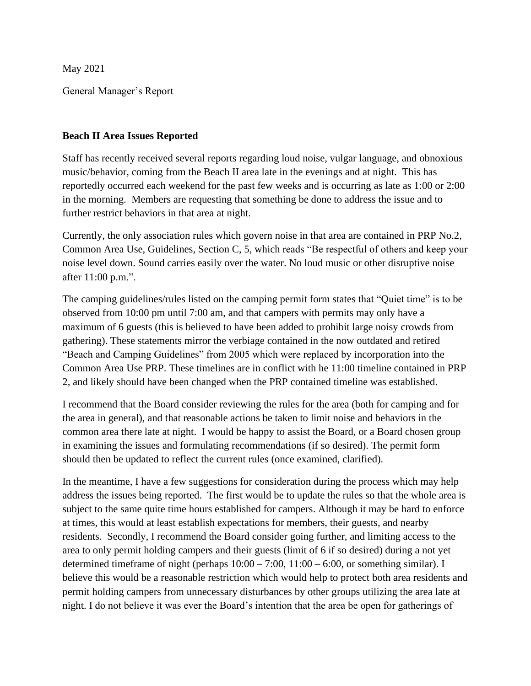May 2021

General Manager's Report

### **Beach II Area Issues Reported**

Staff has recently received several reports regarding loud noise, vulgar language, and obnoxious music/behavior, coming from the Beach II area late in the evenings and at night. This has reportedly occurred each weekend for the past few weeks and is occurring as late as 1:00 or 2:00 in the morning. Members are requesting that something be done to address the issue and to further restrict behaviors in that area at night.

Currently, the only association rules which govern noise in that area are contained in PRP No.2, Common Area Use, Guidelines, Section C, 5, which reads "Be respectful of others and keep your noise level down. Sound carries easily over the water. No loud music or other disruptive noise after 11:00 p.m.".

The camping guidelines/rules listed on the camping permit form states that "Quiet time" is to be observed from 10:00 pm until 7:00 am, and that campers with permits may only have a maximum of 6 guests (this is believed to have been added to prohibit large noisy crowds from gathering). These statements mirror the verbiage contained in the now outdated and retired "Beach and Camping Guidelines" from 2005 which were replaced by incorporation into the Common Area Use PRP. These timelines are in conflict with he 11:00 timeline contained in PRP 2, and likely should have been changed when the PRP contained timeline was established.

I recommend that the Board consider reviewing the rules for the area (both for camping and for the area in general), and that reasonable actions be taken to limit noise and behaviors in the common area there late at night. I would be happy to assist the Board, or a Board chosen group in examining the issues and formulating recommendations (if so desired). The permit form should then be updated to reflect the current rules (once examined, clarified).

In the meantime, I have a few suggestions for consideration during the process which may help address the issues being reported. The first would be to update the rules so that the whole area is subject to the same quite time hours established for campers. Although it may be hard to enforce at times, this would at least establish expectations for members, their guests, and nearby residents. Secondly, I recommend the Board consider going further, and limiting access to the area to only permit holding campers and their guests (limit of 6 if so desired) during a not yet determined timeframe of night (perhaps  $10:00 - 7:00$ ,  $11:00 - 6:00$ , or something similar). I believe this would be a reasonable restriction which would help to protect both area residents and permit holding campers from unnecessary disturbances by other groups utilizing the area late at night. I do not believe it was ever the Board's intention that the area be open for gatherings of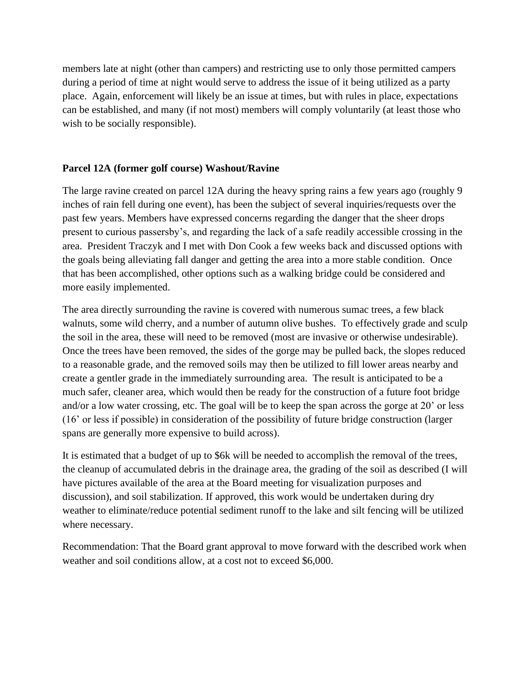members late at night (other than campers) and restricting use to only those permitted campers during a period of time at night would serve to address the issue of it being utilized as a party place. Again, enforcement will likely be an issue at times, but with rules in place, expectations can be established, and many (if not most) members will comply voluntarily (at least those who wish to be socially responsible).

### **Parcel 12A (former golf course) Washout/Ravine**

The large ravine created on parcel 12A during the heavy spring rains a few years ago (roughly 9 inches of rain fell during one event), has been the subject of several inquiries/requests over the past few years. Members have expressed concerns regarding the danger that the sheer drops present to curious passersby's, and regarding the lack of a safe readily accessible crossing in the area. President Traczyk and I met with Don Cook a few weeks back and discussed options with the goals being alleviating fall danger and getting the area into a more stable condition. Once that has been accomplished, other options such as a walking bridge could be considered and more easily implemented.

The area directly surrounding the ravine is covered with numerous sumac trees, a few black walnuts, some wild cherry, and a number of autumn olive bushes. To effectively grade and sculp the soil in the area, these will need to be removed (most are invasive or otherwise undesirable). Once the trees have been removed, the sides of the gorge may be pulled back, the slopes reduced to a reasonable grade, and the removed soils may then be utilized to fill lower areas nearby and create a gentler grade in the immediately surrounding area. The result is anticipated to be a much safer, cleaner area, which would then be ready for the construction of a future foot bridge and/or a low water crossing, etc. The goal will be to keep the span across the gorge at 20' or less (16' or less if possible) in consideration of the possibility of future bridge construction (larger spans are generally more expensive to build across).

It is estimated that a budget of up to \$6k will be needed to accomplish the removal of the trees, the cleanup of accumulated debris in the drainage area, the grading of the soil as described (I will have pictures available of the area at the Board meeting for visualization purposes and discussion), and soil stabilization. If approved, this work would be undertaken during dry weather to eliminate/reduce potential sediment runoff to the lake and silt fencing will be utilized where necessary.

Recommendation: That the Board grant approval to move forward with the described work when weather and soil conditions allow, at a cost not to exceed \$6,000.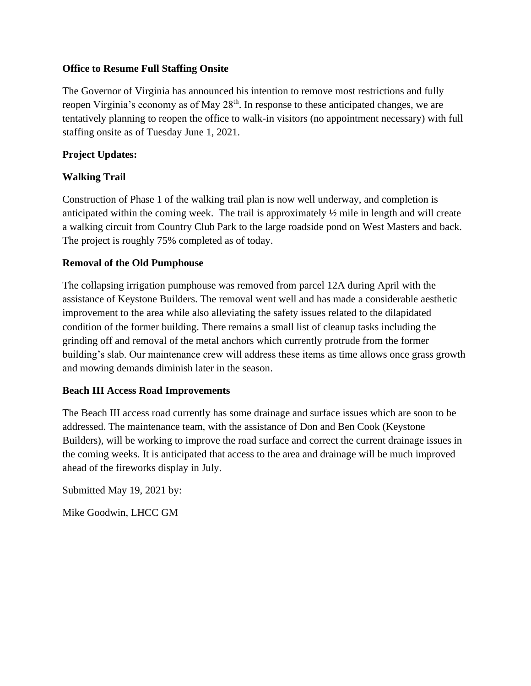### **Office to Resume Full Staffing Onsite**

The Governor of Virginia has announced his intention to remove most restrictions and fully reopen Virginia's economy as of May 28<sup>th</sup>. In response to these anticipated changes, we are tentatively planning to reopen the office to walk-in visitors (no appointment necessary) with full staffing onsite as of Tuesday June 1, 2021.

### **Project Updates:**

# **Walking Trail**

Construction of Phase 1 of the walking trail plan is now well underway, and completion is anticipated within the coming week. The trail is approximately ½ mile in length and will create a walking circuit from Country Club Park to the large roadside pond on West Masters and back. The project is roughly 75% completed as of today.

#### **Removal of the Old Pumphouse**

The collapsing irrigation pumphouse was removed from parcel 12A during April with the assistance of Keystone Builders. The removal went well and has made a considerable aesthetic improvement to the area while also alleviating the safety issues related to the dilapidated condition of the former building. There remains a small list of cleanup tasks including the grinding off and removal of the metal anchors which currently protrude from the former building's slab. Our maintenance crew will address these items as time allows once grass growth and mowing demands diminish later in the season.

# **Beach III Access Road Improvements**

The Beach III access road currently has some drainage and surface issues which are soon to be addressed. The maintenance team, with the assistance of Don and Ben Cook (Keystone Builders), will be working to improve the road surface and correct the current drainage issues in the coming weeks. It is anticipated that access to the area and drainage will be much improved ahead of the fireworks display in July.

Submitted May 19, 2021 by:

Mike Goodwin, LHCC GM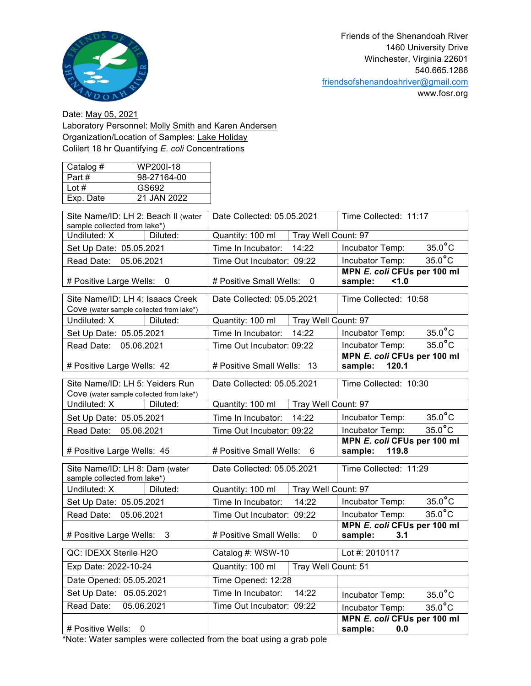

www.fosr.org

Date: May 05, 2021 Laboratory Personnel: Molly Smith and Karen Andersen Organization/Location of Samples: Lake Holiday Colilert 18 hr Quantifying *E. coli* Concentrations

| Catalog # | WP200I-18   |
|-----------|-------------|
| Part#     | 98-27164-00 |
| Lot $#$   | GS692       |
| Exp. Date | 21 JAN 2022 |

| Site Name/ID: LH 2: Beach II (water<br>sample collected from lake*)          |            | Date Collected: 05.05.2021                          |                     | Time Collected: 11:17                           |                  |
|------------------------------------------------------------------------------|------------|-----------------------------------------------------|---------------------|-------------------------------------------------|------------------|
| Undiluted: X                                                                 | Diluted:   | Tray Well Count: 97<br>Quantity: 100 ml             |                     |                                                 |                  |
| Set Up Date: 05.05.2021                                                      |            | Time In Incubator:                                  | 14:22               | Incubator Temp:                                 | $35.0^{\circ}$ C |
| Read Date: 05.06.2021                                                        |            | Time Out Incubator: 09:22                           |                     | Incubator Temp:                                 | $35.0^{\circ}$ C |
| # Positive Large Wells: 0                                                    |            | # Positive Small Wells:<br>$\overline{\phantom{0}}$ |                     | MPN E. coli CFUs per 100 ml<br>sample:<br>1.0   |                  |
| Site Name/ID: LH 4: Isaacs Creek<br>Cove (water sample collected from lake*) |            | Date Collected: 05.05.2021                          |                     | Time Collected: 10:58                           |                  |
| Undiluted: X                                                                 | Diluted:   | Quantity: 100 ml                                    | Tray Well Count: 97 |                                                 |                  |
| Set Up Date: 05.05.2021                                                      |            | Time In Incubator: 14:22                            |                     | Incubator Temp:                                 | $35.0^{\circ}$ C |
| Read Date: 05.06.2021                                                        |            | Time Out Incubator: 09:22                           |                     | Incubator Temp:                                 | $35.0^{\circ}$ C |
| # Positive Large Wells: 42                                                   |            | # Positive Small Wells: 13                          |                     | MPN E. coli CFUs per 100 ml<br>sample: 120.1    |                  |
| Site Name/ID: LH 5: Yeiders Run<br>Cove (water sample collected from lake*)  |            | Date Collected: 05.05.2021                          |                     | Time Collected: 10:30                           |                  |
| Undiluted: X                                                                 | Diluted:   | Tray Well Count: 97<br>Quantity: 100 ml             |                     |                                                 |                  |
| Set Up Date: 05.05.2021                                                      |            | Time In Incubator:                                  | 14:22               | Incubator Temp:                                 | $35.0^{\circ}$ C |
| Read Date: 05.06.2021                                                        |            | Time Out Incubator: 09:22                           |                     | Incubator Temp:                                 | $35.0^{\circ}$ C |
| # Positive Large Wells: 45                                                   |            | # Positive Small Wells:<br>6                        |                     | MPN E. coli CFUs per 100 ml<br>sample:<br>119.8 |                  |
| Site Name/ID: LH 8: Dam (water<br>sample collected from lake*)               |            | Date Collected: 05.05.2021                          |                     | Time Collected: 11:29                           |                  |
| Undiluted: X                                                                 | Diluted:   | Quantity: 100 ml                                    | Tray Well Count: 97 |                                                 |                  |
| Set Up Date: 05.05.2021                                                      |            | Time In Incubator:<br>14:22                         |                     | Incubator Temp:                                 | $35.0^{\circ}$ C |
| Read Date: 05.06.2021                                                        |            | Time Out Incubator: 09:22                           |                     | Incubator Temp:                                 | $35.0^{\circ}$ C |
| # Positive Large Wells:<br>- 3                                               |            | # Positive Small Wells:<br>0                        |                     | MPN E. coli CFUs per 100 ml<br>sample:<br>3.1   |                  |
| QC: IDEXX Sterile H2O                                                        |            | Catalog #: WSW-10                                   |                     | Lot #: 2010117                                  |                  |
| Exp Date: 2022-10-24                                                         |            | Quantity: 100 ml<br>Tray Well Count: 51             |                     |                                                 |                  |
| Date Opened: 05.05.2021                                                      |            | Time Opened: 12:28                                  |                     |                                                 |                  |
| Set Up Date: 05.05.2021                                                      |            | 14:22<br>Time In Incubator:                         |                     | Incubator Temp:                                 | $35.0^{\circ}$ C |
| Read Date:                                                                   | 05.06.2021 | Time Out Incubator: 09:22                           |                     | Incubator Temp:                                 | $35.0^{\circ}$ C |
| # Positive Wells:<br>0                                                       |            |                                                     |                     | MPN E. coli CFUs per 100 ml<br>sample:<br>0.0   |                  |

\*Note: Water samples were collected from the boat using a grab pole